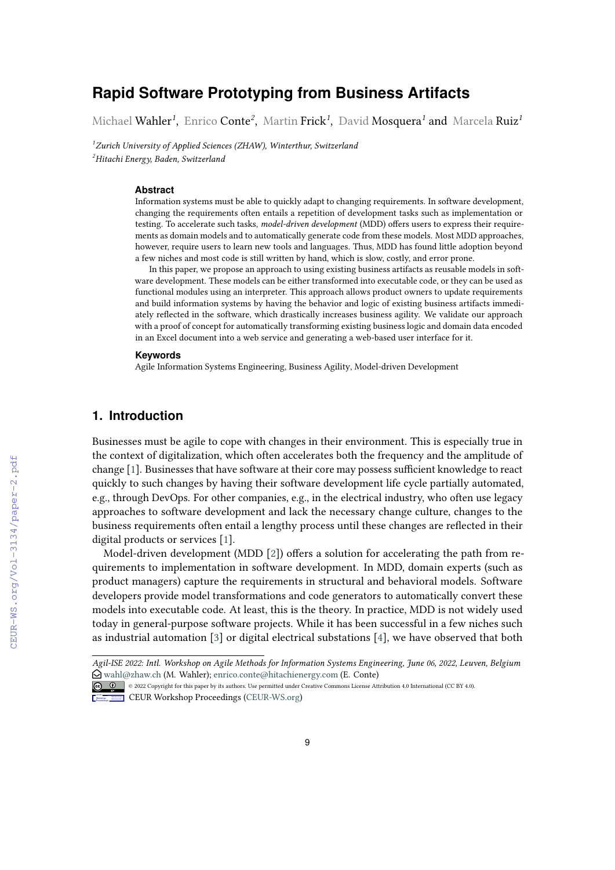# **Rapid Software Prototyping from Business Artifacts**

Michael Wahler*<sup>1</sup>* , Enrico Conte*<sup>2</sup>* , Martin Frick*<sup>1</sup>* , David Mosquera*<sup>1</sup>* and Marcela Ruiz*<sup>1</sup>*

*<sup>1</sup>Zurich University of Applied Sciences (ZHAW), Winterthur, Switzerland <sup>2</sup>Hitachi Energy, Baden, Switzerland*

#### **Abstract**

Information systems must be able to quickly adapt to changing requirements. In software development, changing the requirements often entails a repetition of development tasks such as implementation or testing. To accelerate such tasks, *model-driven development* (MDD) offers users to express their requirements as domain models and to automatically generate code from these models. Most MDD approaches, however, require users to learn new tools and languages. Thus, MDD has found little adoption beyond a few niches and most code is still written by hand, which is slow, costly, and error prone.

In this paper, we propose an approach to using existing business artifacts as reusable models in software development. These models can be either transformed into executable code, or they can be used as functional modules using an interpreter. This approach allows product owners to update requirements and build information systems by having the behavior and logic of existing business artifacts immediately reflected in the software, which drastically increases business agility. We validate our approach with a proof of concept for automatically transforming existing business logic and domain data encoded in an Excel document into a web service and generating a web-based user interface for it.

#### **Keywords**

Agile Information Systems Engineering, Business Agility, Model-driven Development

# **1. Introduction**

Businesses must be agile to cope with changes in their environment. This is especially true in the context of digitalization, which often accelerates both the frequency and the amplitude of change [\[1\]](#page--1-0). Businesses that have software at their core may possess sufficient knowledge to react quickly to such changes by having their software development life cycle partially automated, e.g., through DevOps. For other companies, e.g., in the electrical industry, who often use legacy approaches to software development and lack the necessary change culture, changes to the business requirements often entail a lengthy process until these changes are reflected in their digital products or services [\[1\]](#page--1-0).

Model-driven development (MDD [\[2\]](#page--1-1)) offers a solution for accelerating the path from requirements to implementation in software development. In MDD, domain experts (such as product managers) capture the requirements in structural and behavioral models. Software developers provide model transformations and code generators to automatically convert these models into executable code. At least, this is the theory. In practice, MDD is not widely used today in general-purpose software projects. While it has been successful in a few niches such as industrial automation [\[3\]](#page--1-2) or digital electrical substations [\[4\]](#page--1-3), we have observed that both

**CEUR Workshop [Proceedings](http://ceur-ws.org) [\(CEUR-WS.org\)](http://ceur-ws.org)** 

*Agil-ISE 2022: Intl. Workshop on Agile Methods for Information Systems Engineering, June 06, 2022, Leuven, Belgium* [wahl@zhaw.ch](mailto:wahl@zhaw.ch) (M. Wahler); [enrico.conte@hitachienergy.com](mailto:enrico.conte@hitachienergy.com) (E. Conte)

<sup>©</sup> 2022 Copyright for this paper by its authors. Use permitted under Creative Commons License Attribution 4.0 International (CC BY 4.0).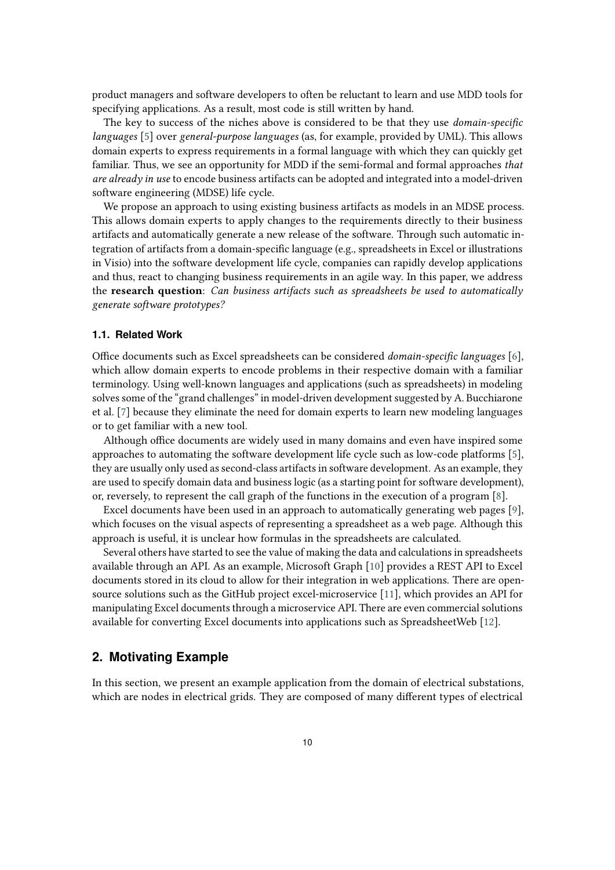product managers and software developers to often be reluctant to learn and use MDD tools for specifying applications. As a result, most code is still written by hand.

The key to success of the niches above is considered to be that they use *domain-specific languages* [\[5\]](#page-5-0) over *general-purpose languages* (as, for example, provided by UML). This allows domain experts to express requirements in a formal language with which they can quickly get familiar. Thus, we see an opportunity for MDD if the semi-formal and formal approaches *that are already in use* to encode business artifacts can be adopted and integrated into a model-driven software engineering (MDSE) life cycle.

We propose an approach to using existing business artifacts as models in an MDSE process. This allows domain experts to apply changes to the requirements directly to their business artifacts and automatically generate a new release of the software. Through such automatic integration of artifacts from a domain-specific language (e.g., spreadsheets in Excel or illustrations in Visio) into the software development life cycle, companies can rapidly develop applications and thus, react to changing business requirements in an agile way. In this paper, we address the **research question**: *Can business artifacts such as spreadsheets be used to automatically generate software prototypes?*

#### **1.1. Related Work**

Office documents such as Excel spreadsheets can be considered *domain-specific languages* [\[6\]](#page-5-1), which allow domain experts to encode problems in their respective domain with a familiar terminology. Using well-known languages and applications (such as spreadsheets) in modeling solves some of the "grand challenges" in model-driven development suggested by A. Bucchiarone et al. [\[7\]](#page-5-2) because they eliminate the need for domain experts to learn new modeling languages or to get familiar with a new tool.

Although office documents are widely used in many domains and even have inspired some approaches to automating the software development life cycle such as low-code platforms [\[5\]](#page-5-0), they are usually only used as second-class artifacts in software development. As an example, they are used to specify domain data and business logic (as a starting point for software development), or, reversely, to represent the call graph of the functions in the execution of a program [\[8\]](#page-5-3).

Excel documents have been used in an approach to automatically generating web pages [\[9\]](#page-5-4), which focuses on the visual aspects of representing a spreadsheet as a web page. Although this approach is useful, it is unclear how formulas in the spreadsheets are calculated.

Several others have started to see the value of making the data and calculations in spreadsheets available through an API. As an example, Microsoft Graph [\[10\]](#page-5-5) provides a REST API to Excel documents stored in its cloud to allow for their integration in web applications. There are opensource solutions such as the GitHub project excel-microservice [\[11\]](#page-5-6), which provides an API for manipulating Excel documents through a microservice API. There are even commercial solutions available for converting Excel documents into applications such as SpreadsheetWeb [\[12\]](#page-5-7).

# **2. Motivating Example**

In this section, we present an example application from the domain of electrical substations, which are nodes in electrical grids. They are composed of many different types of electrical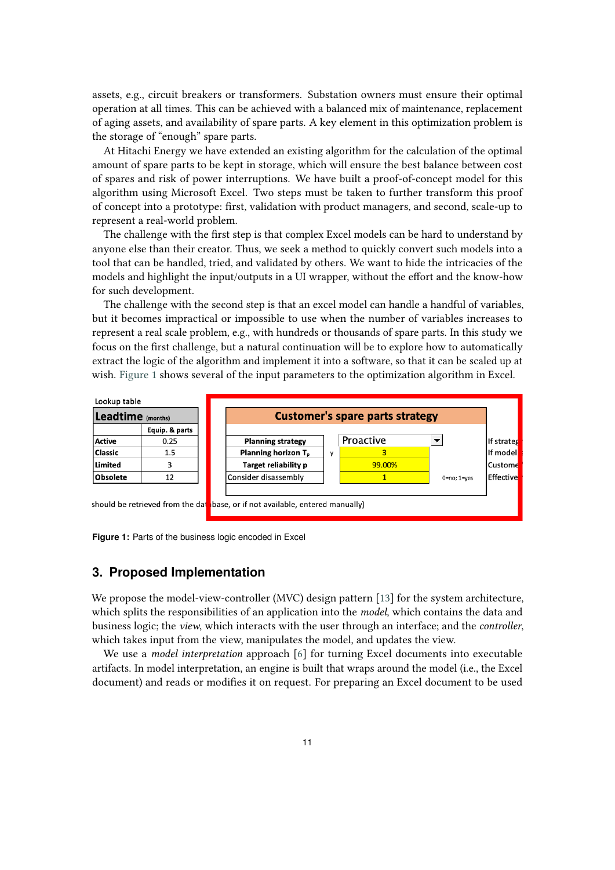assets, e.g., circuit breakers or transformers. Substation owners must ensure their optimal operation at all times. This can be achieved with a balanced mix of maintenance, replacement of aging assets, and availability of spare parts. A key element in this optimization problem is the storage of "enough" spare parts.

At Hitachi Energy we have extended an existing algorithm for the calculation of the optimal amount of spare parts to be kept in storage, which will ensure the best balance between cost of spares and risk of power interruptions. We have built a proof-of-concept model for this algorithm using Microsoft Excel. Two steps must be taken to further transform this proof of concept into a prototype: first, validation with product managers, and second, scale-up to represent a real-world problem.

The challenge with the first step is that complex Excel models can be hard to understand by anyone else than their creator. Thus, we seek a method to quickly convert such models into a tool that can be handled, tried, and validated by others. We want to hide the intricacies of the models and highlight the input/outputs in a UI wrapper, without the effort and the know-how for such development.

The challenge with the second step is that an excel model can handle a handful of variables, but it becomes impractical or impossible to use when the number of variables increases to represent a real scale problem, e.g., with hundreds or thousands of spare parts. In this study we focus on the first challenge, but a natural continuation will be to explore how to automatically extract the logic of the algorithm and implement it into a software, so that it can be scaled up at wish. [Figure 1](#page-2-0) shows several of the input parameters to the optimization algorithm in Excel.

<span id="page-2-0"></span>

**Figure 1:** Parts of the business logic encoded in Excel

### **3. Proposed Implementation**

We propose the model-view-controller (MVC) design pattern [\[13\]](#page-5-8) for the system architecture, which splits the responsibilities of an application into the *model*, which contains the data and business logic; the *view*, which interacts with the user through an interface; and the *controller*, which takes input from the view, manipulates the model, and updates the view.

We use a *model interpretation* approach [\[6\]](#page-5-1) for turning Excel documents into executable artifacts. In model interpretation, an engine is built that wraps around the model (i.e., the Excel document) and reads or modifies it on request. For preparing an Excel document to be used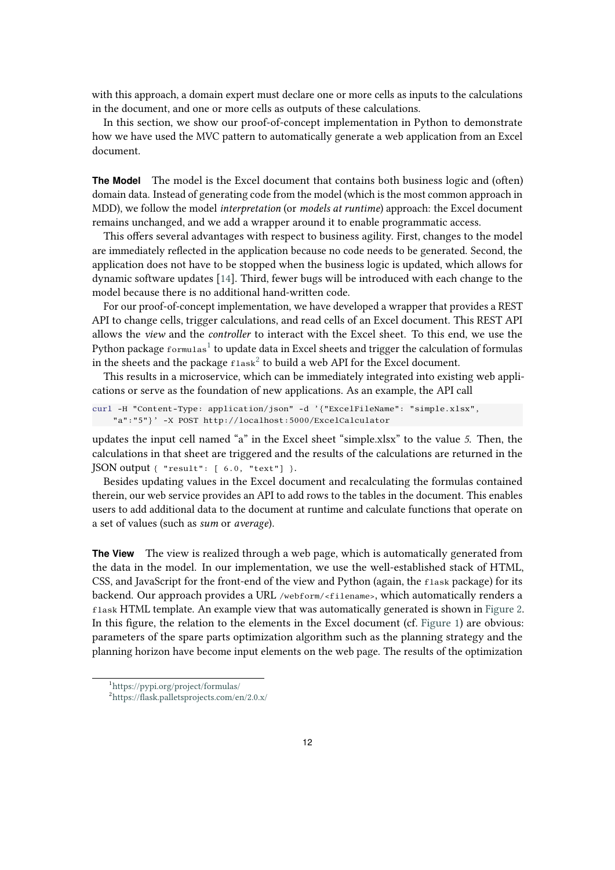with this approach, a domain expert must declare one or more cells as inputs to the calculations in the document, and one or more cells as outputs of these calculations.

In this section, we show our proof-of-concept implementation in Python to demonstrate how we have used the MVC pattern to automatically generate a web application from an Excel document.

**The Model** The model is the Excel document that contains both business logic and (often) domain data. Instead of generating code from the model (which is the most common approach in MDD), we follow the model *interpretation* (or *models at runtime*) approach: the Excel document remains unchanged, and we add a wrapper around it to enable programmatic access.

This offers several advantages with respect to business agility. First, changes to the model are immediately reflected in the application because no code needs to be generated. Second, the application does not have to be stopped when the business logic is updated, which allows for dynamic software updates [\[14\]](#page-5-9). Third, fewer bugs will be introduced with each change to the model because there is no additional hand-written code.

For our proof-of-concept implementation, we have developed a wrapper that provides a REST API to change cells, trigger calculations, and read cells of an Excel document. This REST API allows the *view* and the *controller* to interact with the Excel sheet. To this end, we use the Python package  $\epsilon$ ormu $1$ as $^1$  to update data in Excel sheets and trigger the calculation of formulas in the sheets and the package  $f$ lask $^2$  $^2$  to build a web API for the Excel document.

This results in a microservice, which can be immediately integrated into existing web applications or serve as the foundation of new applications. As an example, the API call

```
curl -H "Content-Type: application/json" -d '{"ExcelFileName": "simple.xlsx", 
"a":"5"}' -X POST http://localhost:5000/ExcelCalculator
```
updates the input cell named "a" in the Excel sheet "simple.xlsx" to the value *5*. Then, the calculations in that sheet are triggered and the results of the calculations are returned in the JSON output { "result": [ 6.0, "text"] }.

Besides updating values in the Excel document and recalculating the formulas contained therein, our web service provides an API to add rows to the tables in the document. This enables users to add additional data to the document at runtime and calculate functions that operate on a set of values (such as *sum* or *average*).

**The View** The view is realized through a web page, which is automatically generated from the data in the model. In our implementation, we use the well-established stack of HTML, CSS, and JavaScript for the front-end of the view and Python (again, the flask package) for its backend. Our approach provides a URL /webform/<filename>, which automatically renders a flask HTML template. An example view that was automatically generated is shown in [Figure 2.](#page-4-0) In this figure, the relation to the elements in the Excel document (cf. [Figure 1\)](#page-2-0) are obvious: parameters of the spare parts optimization algorithm such as the planning strategy and the planning horizon have become input elements on the web page. The results of the optimization

<span id="page-3-0"></span><sup>1</sup> <https://pypi.org/project/formulas/>

<span id="page-3-1"></span><sup>2</sup> <https://flask.palletsprojects.com/en/2.0.x/>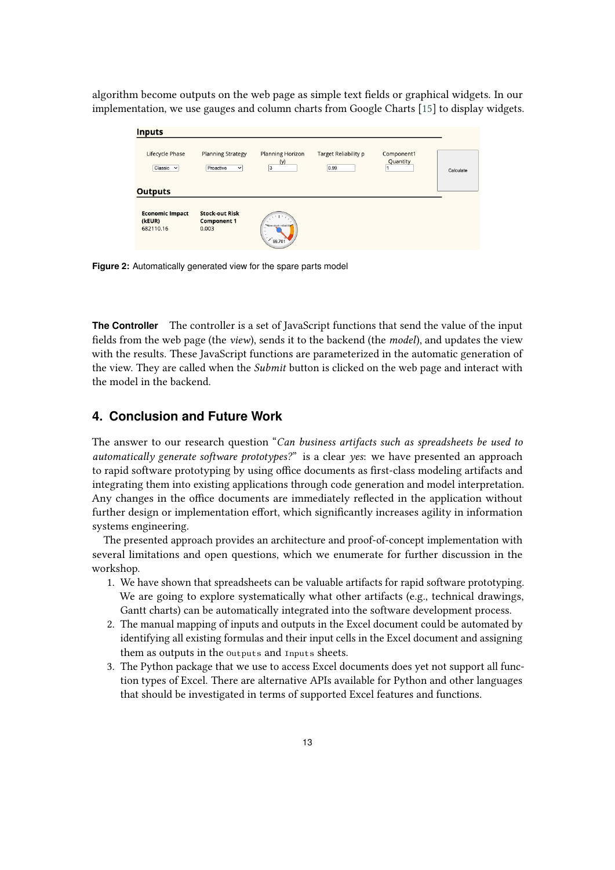<span id="page-4-0"></span>algorithm become outputs on the web page as simple text fields or graphical widgets. In our implementation, we use gauges and column charts from Google Charts [\[15\]](#page-5-10) to display widgets.

| <b>Inputs</b>                                 |                                                      |                                                              |                              |                        |           |
|-----------------------------------------------|------------------------------------------------------|--------------------------------------------------------------|------------------------------|------------------------|-----------|
| Lifecycle Phase<br>Classic $\vee$             | <b>Planning Strategy</b><br>Proactive<br>$\check{ }$ | <b>Planning Horizon</b><br>(y)<br>3                          | Target Reliability p<br>0.99 | Component1<br>Quantity | Calculate |
| <b>Outputs</b>                                |                                                      |                                                              |                              |                        |           |
| <b>Economic Impact</b><br>(kEUR)<br>682110.16 | <b>Stock-out Risk</b><br><b>Component 1</b><br>0.003 | New stock reliability<br>$\overline{\phantom{a}}$<br>299.701 |                              |                        |           |

**Figure 2:** Automatically generated view for the spare parts model

**The Controller** The controller is a set of JavaScript functions that send the value of the input fields from the web page (the *view*), sends it to the backend (the *model*), and updates the view with the results. These JavaScript functions are parameterized in the automatic generation of the view. They are called when the *Submit* button is clicked on the web page and interact with the model in the backend.

## **4. Conclusion and Future Work**

The answer to our research question "*Can business artifacts such as spreadsheets be used to automatically generate software prototypes?*" is a clear *yes*: we have presented an approach to rapid software prototyping by using office documents as first-class modeling artifacts and integrating them into existing applications through code generation and model interpretation. Any changes in the office documents are immediately reflected in the application without further design or implementation effort, which significantly increases agility in information systems engineering.

The presented approach provides an architecture and proof-of-concept implementation with several limitations and open questions, which we enumerate for further discussion in the workshop.

- 1. We have shown that spreadsheets can be valuable artifacts for rapid software prototyping. We are going to explore systematically what other artifacts (e.g., technical drawings, Gantt charts) can be automatically integrated into the software development process.
- 2. The manual mapping of inputs and outputs in the Excel document could be automated by identifying all existing formulas and their input cells in the Excel document and assigning them as outputs in the Outputs and Inputs sheets.
- 3. The Python package that we use to access Excel documents does yet not support all function types of Excel. There are alternative APIs available for Python and other languages that should be investigated in terms of supported Excel features and functions.